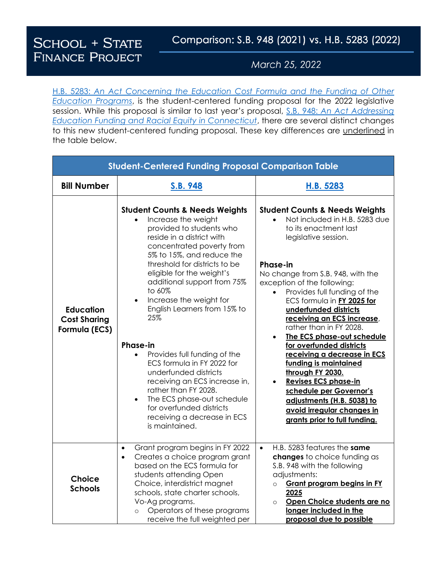**SCHOOL + STATE FINANCE PROJECT** 

March 25, 2022

H.B. 5283: *[An Act Concerning the Education Cost Formula and the Funding of Other](https://www.cga.ct.gov/asp/cgabillstatus/cgabillstatus.asp?selBillType=Bill&which_year=2022&bill_num=5283)  [Education Programs](https://www.cga.ct.gov/asp/cgabillstatus/cgabillstatus.asp?selBillType=Bill&which_year=2022&bill_num=5283)*, is the student-centered funding proposal for the 2022 legislative session. While this proposal is similar to last year's proposal, S.B. 948: *[An Act Addressing](https://www.cga.ct.gov/asp/cgabillstatus/cgabillstatus.asp?selBillType=Bill&which_year=2021&bill_num=948)  [Education Funding and Racial Equity in Connecticut](https://www.cga.ct.gov/asp/cgabillstatus/cgabillstatus.asp?selBillType=Bill&which_year=2021&bill_num=948)*, there are several distinct changes to this new student-centered funding proposal. These key differences are underlined in the table below.

| <b>Student-Centered Funding Proposal Comparison Table</b> |                                                                                                                                                                                                                                                                                                                                                                                                                                                                                                                                                                                                                                                                      |                                                                                                                                                                                                                                                                                                                                                                                                                                                                                                                                                                                                                                                                                           |  |
|-----------------------------------------------------------|----------------------------------------------------------------------------------------------------------------------------------------------------------------------------------------------------------------------------------------------------------------------------------------------------------------------------------------------------------------------------------------------------------------------------------------------------------------------------------------------------------------------------------------------------------------------------------------------------------------------------------------------------------------------|-------------------------------------------------------------------------------------------------------------------------------------------------------------------------------------------------------------------------------------------------------------------------------------------------------------------------------------------------------------------------------------------------------------------------------------------------------------------------------------------------------------------------------------------------------------------------------------------------------------------------------------------------------------------------------------------|--|
| <b>Bill Number</b>                                        | S.B. 948                                                                                                                                                                                                                                                                                                                                                                                                                                                                                                                                                                                                                                                             | H.B. 5283                                                                                                                                                                                                                                                                                                                                                                                                                                                                                                                                                                                                                                                                                 |  |
| <b>Education</b><br><b>Cost Sharing</b><br>Formula (ECS)  | <b>Student Counts &amp; Needs Weights</b><br>Increase the weight<br>provided to students who<br>reside in a district with<br>concentrated poverty from<br>5% to 15%, and reduce the<br>threshold for districts to be<br>eligible for the weight's<br>additional support from 75%<br>to 60%<br>Increase the weight for<br>$\bullet$<br>English Learners from 15% to<br>25%<br><b>Phase-in</b><br>Provides full funding of the<br>ECS formula in FY 2022 for<br>underfunded districts<br>receiving an ECS increase in,<br>rather than FY 2028.<br>The ECS phase-out schedule<br>$\bullet$<br>for overfunded districts<br>receiving a decrease in ECS<br>is maintained. | <b>Student Counts &amp; Needs Weights</b><br>Not included in H.B. 5283 due<br>to its enactment last<br>legislative session.<br><b>Phase-in</b><br>No change from S.B. 948, with the<br>exception of the following:<br>Provides full funding of the<br>$\bullet$<br>ECS formula in FY 2025 for<br>underfunded districts<br>receiving an ECS increase,<br>rather than in FY 2028.<br>The ECS phase-out schedule<br>$\bullet$<br>for overfunded districts<br>receiving a decrease in ECS<br>funding is maintained<br>through FY 2030.<br><b>Revises ECS phase-in</b><br>schedule per Governor's<br>adjustments (H.B. 5038) to<br>avoid irregular changes in<br>grants prior to full funding. |  |
| <b>Choice</b><br><b>Schools</b>                           | Grant program begins in FY 2022<br>$\bullet$<br>Creates a choice program grant<br>$\bullet$<br>based on the ECS formula for                                                                                                                                                                                                                                                                                                                                                                                                                                                                                                                                          | H.B. 5283 features the same<br>$\bullet$<br>changes to choice funding as<br>S.B. 948 with the following                                                                                                                                                                                                                                                                                                                                                                                                                                                                                                                                                                                   |  |
|                                                           | students attending Open<br>Choice, interdistrict magnet<br>schools, state charter schools,<br>Vo-Ag programs.<br>Operators of these programs<br>$\circ$<br>receive the full weighted per                                                                                                                                                                                                                                                                                                                                                                                                                                                                             | adjustments:<br><b>Grant program begins in FY</b><br>$\circ$<br>2025<br>Open Choice students are no<br>$\circ$<br>longer included in the<br>proposal due to possible                                                                                                                                                                                                                                                                                                                                                                                                                                                                                                                      |  |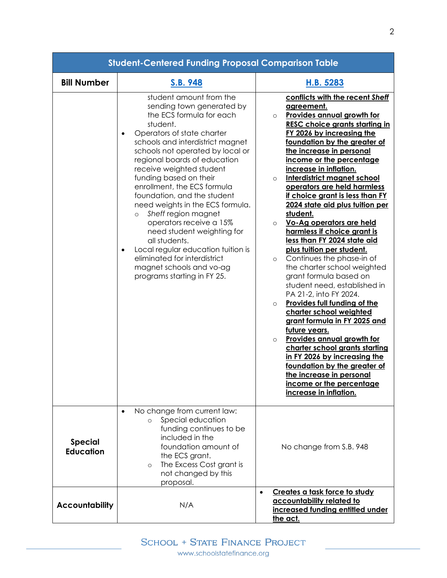| <b>Student-Centered Funding Proposal Comparison Table</b> |                                                                                                                                                                                                                                                                                                                                                                                                                                                                                                                                                                                                                                                                   |                                                                                                                                                                                                                                                                                                                                                                                                                                                                                                                                                                                                                                                                                                                                                                                                                                                                                                                                                                                                                                                                                                                        |  |
|-----------------------------------------------------------|-------------------------------------------------------------------------------------------------------------------------------------------------------------------------------------------------------------------------------------------------------------------------------------------------------------------------------------------------------------------------------------------------------------------------------------------------------------------------------------------------------------------------------------------------------------------------------------------------------------------------------------------------------------------|------------------------------------------------------------------------------------------------------------------------------------------------------------------------------------------------------------------------------------------------------------------------------------------------------------------------------------------------------------------------------------------------------------------------------------------------------------------------------------------------------------------------------------------------------------------------------------------------------------------------------------------------------------------------------------------------------------------------------------------------------------------------------------------------------------------------------------------------------------------------------------------------------------------------------------------------------------------------------------------------------------------------------------------------------------------------------------------------------------------------|--|
| <b>Bill Number</b>                                        | S.B. 948                                                                                                                                                                                                                                                                                                                                                                                                                                                                                                                                                                                                                                                          | H.B. 5283                                                                                                                                                                                                                                                                                                                                                                                                                                                                                                                                                                                                                                                                                                                                                                                                                                                                                                                                                                                                                                                                                                              |  |
|                                                           | student amount from the<br>sending town generated by<br>the ECS formula for each<br>student.<br>Operators of state charter<br>$\bullet$<br>schools and interdistrict magnet<br>schools not operated by local or<br>regional boards of education<br>receive weighted student<br>funding based on their<br>enrollment, the ECS formula<br>foundation, and the student<br>need weights in the ECS formula.<br>Sheff region magnet<br>$\circ$<br>operators receive a 15%<br>need student weighting for<br>all students.<br>Local regular education tuition is<br>$\bullet$<br>eliminated for interdistrict<br>magnet schools and vo-ag<br>programs starting in FY 25. | conflicts with the recent Sheff<br><u>agreement.</u><br><b>Provides annual growth for</b><br>$\circ$<br><b>RESC choice grants starting in</b><br>FY 2026 by increasing the<br>foundation by the greater of<br>the increase in personal<br>income or the percentage<br>increase in inflation.<br>Interdistrict magnet school<br>$\circ$<br>operators are held harmless<br>if choice grant is less than FY<br>2024 state aid plus tuition per<br>student.<br>Vo-Ag operators are held<br>$\circ$<br>harmless if choice grant is<br>less than FY 2024 state aid<br>plus tuition per student.<br>Continues the phase-in of<br>$\circ$<br>the charter school weighted<br>grant formula based on<br>student need, established in<br>PA 21-2, into FY 2024.<br><b>Provides full funding of the</b><br>$\circ$<br>charter school weighted<br>grant formula in FY 2025 and<br>future years.<br><b>Provides annual growth for</b><br>$\circ$<br>charter school grants starting<br>in FY 2026 by increasing the<br>foundation by the greater of<br>the increase in personal<br>income or the percentage<br>increase in inflation. |  |
| <b>Special</b><br><b>Education</b>                        | No change from current law:<br>$\bullet$<br>Special education<br>$\circ$<br>funding continues to be<br>included in the<br>foundation amount of<br>the ECS grant.<br>The Excess Cost grant is<br>$\circ$<br>not changed by this<br>proposal.                                                                                                                                                                                                                                                                                                                                                                                                                       | No change from S.B. 948                                                                                                                                                                                                                                                                                                                                                                                                                                                                                                                                                                                                                                                                                                                                                                                                                                                                                                                                                                                                                                                                                                |  |
| <b>Accountability</b>                                     | N/A                                                                                                                                                                                                                                                                                                                                                                                                                                                                                                                                                                                                                                                               | Creates a task force to study<br>$\bullet$<br>accountability related to<br>increased funding entitled under<br>the act.                                                                                                                                                                                                                                                                                                                                                                                                                                                                                                                                                                                                                                                                                                                                                                                                                                                                                                                                                                                                |  |